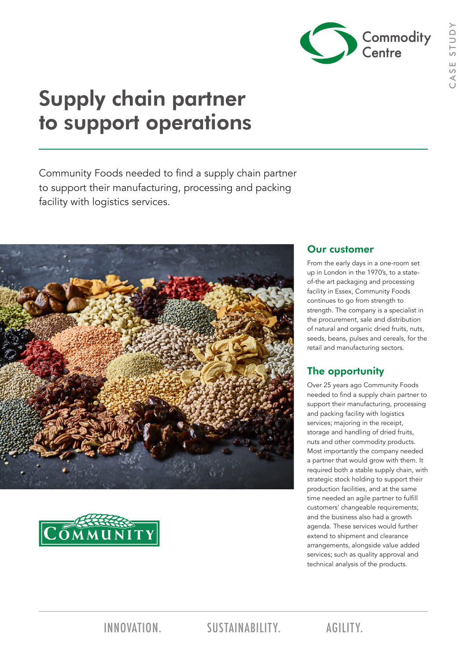

# Supply chain partner to support operations

Community Foods needed to find a supply chain partner to support their manufacturing, processing and packing facility with logistics services.





### Our customer

From the early days in a one-room set up in London in the 1970's, to a stateof-the art packaging and processing facility in Essex, Community Foods continues to go from strength to strength. The company is a specialist in the procurement, sale and distribution of natural and organic dried fruits, nuts, seeds, beans, pulses and cereals, for the retail and manufacturing sectors.

### The opportunity

Over 25 years ago Community Foods needed to find a supply chain partner to support their manufacturing, processing and packing facility with logistics services; majoring in the receipt, storage and handling of dried fruits, nuts and other commodity products. Most importantly the company needed a partner that would grow with them. It required both a stable supply chain, with strategic stock holding to support their production facilities, and at the same time needed an agile partner to fulfill customers' changeable requirements; and the business also had a growth agenda. These services would further extend to shipment and clearance arrangements, alongside value added services; such as quality approval and technical analysis of the products.

INNOVATION. SUSTAINABILITY. AGILITY.